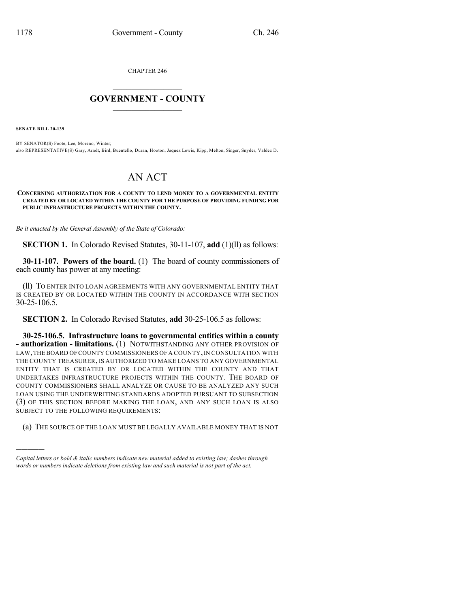CHAPTER 246

## $\mathcal{L}_\text{max}$  . The set of the set of the set of the set of the set of the set of the set of the set of the set of the set of the set of the set of the set of the set of the set of the set of the set of the set of the set **GOVERNMENT - COUNTY**  $\_$

**SENATE BILL 20-139**

)))))

BY SENATOR(S) Foote, Lee, Moreno, Winter; also REPRESENTATIVE(S) Gray, Arndt, Bird, Buentello, Duran, Hooton, Jaquez Lewis, Kipp, Melton, Singer, Snyder, Valdez D.

## AN ACT

## **CONCERNING AUTHORIZATION FOR A COUNTY TO LEND MONEY TO A GOVERNMENTAL ENTITY CREATED BY OR LOCATED WITHIN THE COUNTY FOR THE PURPOSE OF PROVIDING FUNDING FOR PUBLIC INFRASTRUCTURE PROJECTS WITHIN THE COUNTY.**

*Be it enacted by the General Assembly of the State of Colorado:*

**SECTION 1.** In Colorado Revised Statutes, 30-11-107, **add** (1)(ll) as follows:

**30-11-107. Powers of the board.** (1) The board of county commissioners of each county has power at any meeting:

(ll) TO ENTER INTO LOAN AGREEMENTS WITH ANY GOVERNMENTAL ENTITY THAT IS CREATED BY OR LOCATED WITHIN THE COUNTY IN ACCORDANCE WITH SECTION 30-25-106.5.

**SECTION 2.** In Colorado Revised Statutes, **add** 30-25-106.5 as follows:

**30-25-106.5. Infrastructure loans to governmental entities within a county - authorization - limitations.** (1) NOTWITHSTANDING ANY OTHER PROVISION OF LAW, THE BOARD OF COUNTY COMMISSIONERS OF A COUNTY, IN CONSULTATION WITH THE COUNTY TREASURER, IS AUTHORIZED TO MAKE LOANS TO ANY GOVERNMENTAL ENTITY THAT IS CREATED BY OR LOCATED WITHIN THE COUNTY AND THAT UNDERTAKES INFRASTRUCTURE PROJECTS WITHIN THE COUNTY. THE BOARD OF COUNTY COMMISSIONERS SHALL ANALYZE OR CAUSE TO BE ANALYZED ANY SUCH LOAN USING THE UNDERWRITING STANDARDS ADOPTED PURSUANT TO SUBSECTION (3) OF THIS SECTION BEFORE MAKING THE LOAN, AND ANY SUCH LOAN IS ALSO SUBJECT TO THE FOLLOWING REQUIREMENTS:

(a) THE SOURCE OF THE LOAN MUST BE LEGALLY AVAILABLE MONEY THAT IS NOT

*Capital letters or bold & italic numbers indicate new material added to existing law; dashes through words or numbers indicate deletions from existing law and such material is not part of the act.*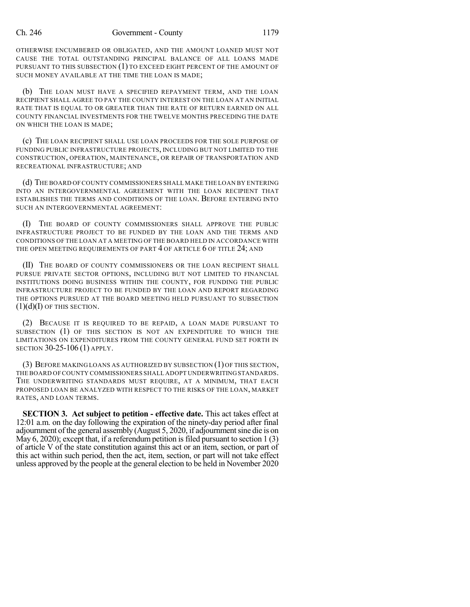OTHERWISE ENCUMBERED OR OBLIGATED, AND THE AMOUNT LOANED MUST NOT CAUSE THE TOTAL OUTSTANDING PRINCIPAL BALANCE OF ALL LOANS MADE PURSUANT TO THIS SUBSECTION (1) TO EXCEED EIGHT PERCENT OF THE AMOUNT OF SUCH MONEY AVAILABLE AT THE TIME THE LOAN IS MADE;

(b) THE LOAN MUST HAVE A SPECIFIED REPAYMENT TERM, AND THE LOAN RECIPIENT SHALL AGREE TO PAY THE COUNTY INTEREST ON THE LOAN AT AN INITIAL RATE THAT IS EQUAL TO OR GREATER THAN THE RATE OF RETURN EARNED ON ALL COUNTY FINANCIAL INVESTMENTS FOR THE TWELVE MONTHS PRECEDING THE DATE ON WHICH THE LOAN IS MADE;

(c) THE LOAN RECIPIENT SHALL USE LOAN PROCEEDS FOR THE SOLE PURPOSE OF FUNDING PUBLIC INFRASTRUCTURE PROJECTS, INCLUDING BUT NOT LIMITED TO THE CONSTRUCTION, OPERATION, MAINTENANCE, OR REPAIR OF TRANSPORTATION AND RECREATIONAL INFRASTRUCTURE; AND

(d) THE BOARD OF COUNTY COMMISSIONERS SHALL MAKE THE LOAN BY ENTERING INTO AN INTERGOVERNMENTAL AGREEMENT WITH THE LOAN RECIPIENT THAT ESTABLISHES THE TERMS AND CONDITIONS OF THE LOAN. BEFORE ENTERING INTO SUCH AN INTERGOVERNMENTAL AGREEMENT:

(I) THE BOARD OF COUNTY COMMISSIONERS SHALL APPROVE THE PUBLIC INFRASTRUCTURE PROJECT TO BE FUNDED BY THE LOAN AND THE TERMS AND CONDITIONS OF THE LOAN AT A MEETING OF THE BOARD HELD IN ACCORDANCE WITH THE OPEN MEETING REQUIREMENTS OF PART 4 OF ARTICLE 6 OF TITLE 24; AND

(II) THE BOARD OF COUNTY COMMISSIONERS OR THE LOAN RECIPIENT SHALL PURSUE PRIVATE SECTOR OPTIONS, INCLUDING BUT NOT LIMITED TO FINANCIAL INSTITUTIONS DOING BUSINESS WITHIN THE COUNTY, FOR FUNDING THE PUBLIC INFRASTRUCTURE PROJECT TO BE FUNDED BY THE LOAN AND REPORT REGARDING THE OPTIONS PURSUED AT THE BOARD MEETING HELD PURSUANT TO SUBSECTION  $(1)(d)(I)$  OF THIS SECTION.

(2) BECAUSE IT IS REQUIRED TO BE REPAID, A LOAN MADE PURSUANT TO SUBSECTION (1) OF THIS SECTION IS NOT AN EXPENDITURE TO WHICH THE LIMITATIONS ON EXPENDITURES FROM THE COUNTY GENERAL FUND SET FORTH IN SECTION 30-25-106 (1) APPLY.

(3) BEFORE MAKING LOANS AS AUTHORIZED BY SUBSECTION (1) OF THIS SECTION, THE BOARD OF COUNTY COMMISSIONERS SHALL ADOPT UNDERWRITINGSTANDARDS. THE UNDERWRITING STANDARDS MUST REQUIRE, AT A MINIMUM, THAT EACH PROPOSED LOAN BE ANALYZED WITH RESPECT TO THE RISKS OF THE LOAN, MARKET RATES, AND LOAN TERMS.

**SECTION 3. Act subject to petition - effective date.** This act takes effect at 12:01 a.m. on the day following the expiration of the ninety-day period after final adjournment of the general assembly (August 5, 2020, if adjournmentsine die is on May  $6$ , 2020); except that, if a referendum petition is filed pursuant to section 1 (3) of article V of the state constitution against this act or an item, section, or part of this act within such period, then the act, item, section, or part will not take effect unless approved by the people at the general election to be held in November 2020